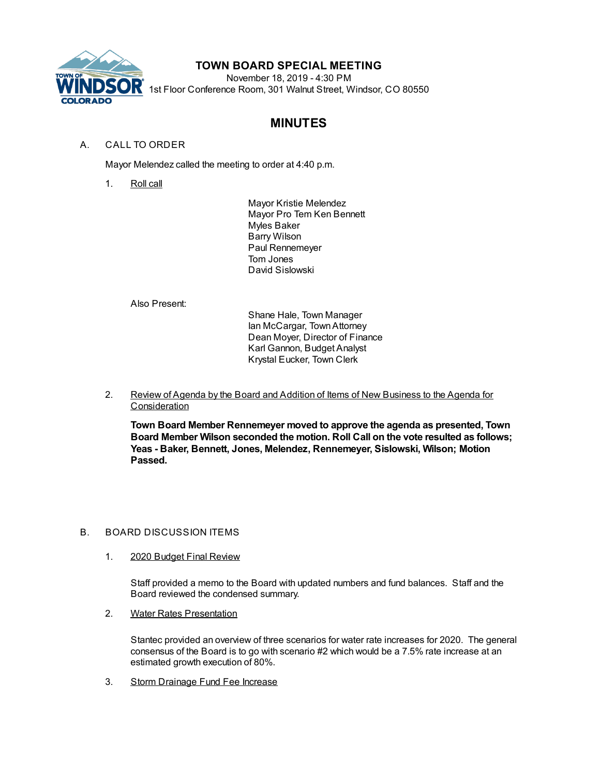

## **TOWN BOARD SPECIAL MEETING**

November 18, 2019 - 4:30 PM 1st Floor Conference Room, 301 Walnut Street, Windsor, CO 80550

# **MINUTES**

## A. CALL TO ORDER

Mayor Melendez called the meeting to order at 4:40 p.m.

1. Roll call

Mayor Kristie Melendez Mayor Pro Tem Ken Bennett Myles Baker Barry Wilson Paul Rennemeyer Tom Jones David Sislowski

Also Present:

Shane Hale, Town Manager Ian McCargar, TownAttorney Dean Moyer, Director of Finance Karl Gannon, Budget Analyst Krystal Eucker, Town Clerk

2. Review of Agenda by the Board and Addition of Items of New Business to the Agenda for **Consideration** 

**Town Board Member Rennemeyer moved to approve the agenda as presented, Town Board Member Wilson seconded the motion. Roll Call on the vote resulted as follows; Yeas - Baker, Bennett, Jones, Melendez, Rennemeyer, Sislowski, Wilson; Motion Passed.**

### B. BOARD DISCUSSION ITEMS

1. 2020 Budget Final Review

Staff provided a memo to the Board with updated numbers and fund balances. Staff and the Board reviewed the condensed summary.

2. Water Rates Presentation

Stantec provided an overview of three scenarios for water rate increases for 2020. The general consensus of the Board is to go with scenario #2 which would be a 7.5% rate increase at an estimated growth execution of 80%.

3. Storm Drainage Fund Fee Increase